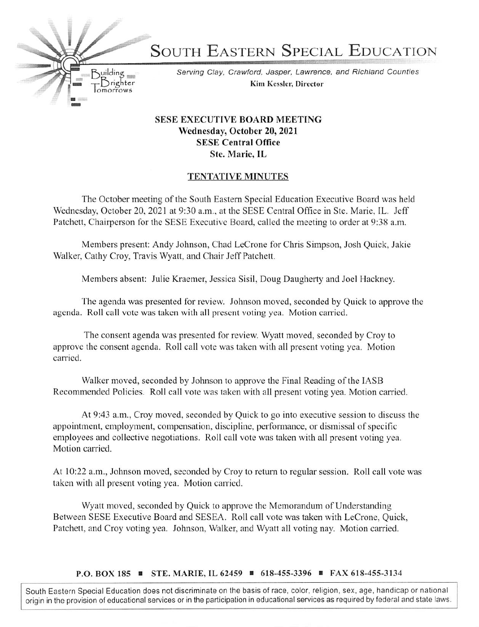SOUTH EASTERN SPECIAL EDUCATION

Serving Clay, Crawford, Jasper, Lawrence, and Richland Counties Kim Kcsslcr, Director

## SESE EXECUTIVE BOARD MEETING Wednesday, October 20, 2021 SESE Central Office Ste. Marie, IL

Brighter lomorrows

 $B<sub>u</sub>ilding$ 

## TENTATIVE MINUTES

The October meeting of the South Eastern Special Education Executive Board was held Wednesday, October 20. 2021 at 9:30 a.m.. at the SESE Central Office in Ste. Marie, IL. Jeff Patchett, Chairperson for the SESE Executive Board, called the meeting to order at 9:38 a.m.

Members present: Andy Johnson, Chad LeCrone for Chris Simpson, Josh Quick, Jakie Walker, Cathy Croy, Travis Wyatt, and Chair Jeff Patchett.

Members absent: Julie Kraemer, Jessica Sisil, Doug Daugherty and Joel Hackney.

The agenda was presented for review. Johnson moved, seconded by Quick to approve the agenda. Roll call vote was taken with all present voting yea. Motion carried.

The consent agenda was presented for review. Wyatt moved, seconded by Croy to approve the consent agenda. Roll call vote was taken with all present voting yea. Motion carried.

Walker moved, seconded by Johnson to approve the Final Reading of the lASB Recommended Policies. Roll call vote was taken with all present voting yea. Motion carried.

At 9:43 a.m., Croy moved, seconded by Quick to go into executive session to discuss the appointment, employment, compensation, discipline, performance, or dismissal of specific employees and collective negotiations. Roll call vote was taken with all present voting yea. Motion carried.

At 10:22 a.m., Johnson moved, seconded by Croy to return to regular session. Roll call vote was taken with all present voting yea. Motion carried.

Wyatt moved, seconded by Quick to approve the Memorandum of Understanding Between SESE Executive Board and SESEA. Roll call vote was taken with LeCrone, Quick, Patchett, and Croy voting yea. Johnson. Walker, and Wyatt ail voting nay. Motion carried.

P.O. BOX 185 ■ STE. MARIE, IL 62459 ■ 618-455-3396 ■ FAX 618-455-3134

South Eastern Special Education does not discriminate on the basis of race, color, religion, sex, age, handicap or national origin in the provision of educational services or in the participation in educational services as required by federal and state laws.